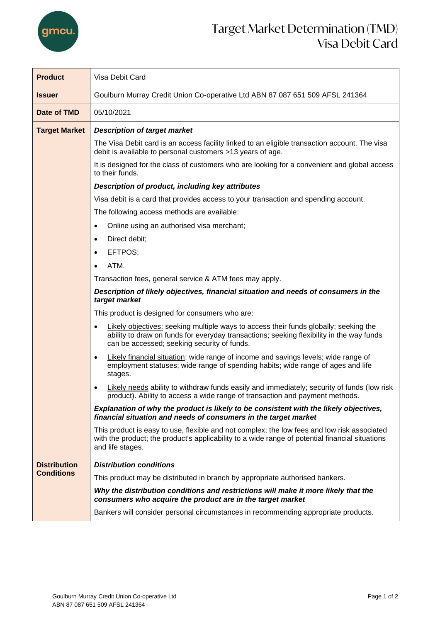

## Target Market Determination (TMD) Visa Debit Card

| <b>Product</b>                           | Visa Debit Card                                                                                                                                                                                                                      |  |  |  |
|------------------------------------------|--------------------------------------------------------------------------------------------------------------------------------------------------------------------------------------------------------------------------------------|--|--|--|
| <b>Issuer</b>                            | Goulburn Murray Credit Union Co-operative Ltd ABN 87 087 651 509 AFSL 241364                                                                                                                                                         |  |  |  |
| Date of TMD                              | 05/10/2021                                                                                                                                                                                                                           |  |  |  |
| <b>Target Market</b>                     | <b>Description of target market</b>                                                                                                                                                                                                  |  |  |  |
|                                          | The Visa Debit card is an access facility linked to an eligible transaction account. The visa<br>debit is available to personal customers >13 years of age.                                                                          |  |  |  |
|                                          | It is designed for the class of customers who are looking for a convenient and global access<br>to their funds.                                                                                                                      |  |  |  |
|                                          | Description of product, including key attributes                                                                                                                                                                                     |  |  |  |
|                                          | Visa debit is a card that provides access to your transaction and spending account.                                                                                                                                                  |  |  |  |
|                                          | The following access methods are available:                                                                                                                                                                                          |  |  |  |
|                                          | Online using an authorised visa merchant;<br>$\bullet$                                                                                                                                                                               |  |  |  |
|                                          | Direct debit;<br>$\bullet$                                                                                                                                                                                                           |  |  |  |
|                                          | EFTPOS;<br>$\bullet$                                                                                                                                                                                                                 |  |  |  |
|                                          | ATM.<br>$\bullet$                                                                                                                                                                                                                    |  |  |  |
|                                          | Transaction fees, general service & ATM fees may apply.                                                                                                                                                                              |  |  |  |
|                                          | Description of likely objectives, financial situation and needs of consumers in the<br>target market                                                                                                                                 |  |  |  |
|                                          | This product is designed for consumers who are:                                                                                                                                                                                      |  |  |  |
|                                          | Likely objectives: seeking multiple ways to access their funds globally; seeking the<br>٠<br>ability to draw on funds for everyday transactions; seeking flexibility in the way funds<br>can be accessed; seeking security of funds. |  |  |  |
|                                          | Likely financial situation: wide range of income and savings levels; wide range of<br>$\bullet$<br>employment statuses; wide range of spending habits; wide range of ages and life<br>stages.                                        |  |  |  |
|                                          | Likely needs ability to withdraw funds easily and immediately; security of funds (low risk<br>$\bullet$<br>product). Ability to access a wide range of transaction and payment methods.                                              |  |  |  |
|                                          | Explanation of why the product is likely to be consistent with the likely objectives,<br>financial situation and needs of consumers in the target market                                                                             |  |  |  |
|                                          | This product is easy to use, flexible and not complex; the low fees and low risk associated<br>with the product; the product's applicability to a wide range of potential financial situations<br>and life stages.                   |  |  |  |
| <b>Distribution</b><br><b>Conditions</b> | <b>Distribution conditions</b>                                                                                                                                                                                                       |  |  |  |
|                                          | This product may be distributed in branch by appropriate authorised bankers.                                                                                                                                                         |  |  |  |
|                                          | Why the distribution conditions and restrictions will make it more likely that the<br>consumers who acquire the product are in the target market                                                                                     |  |  |  |
|                                          | Bankers will consider personal circumstances in recommending appropriate products.                                                                                                                                                   |  |  |  |